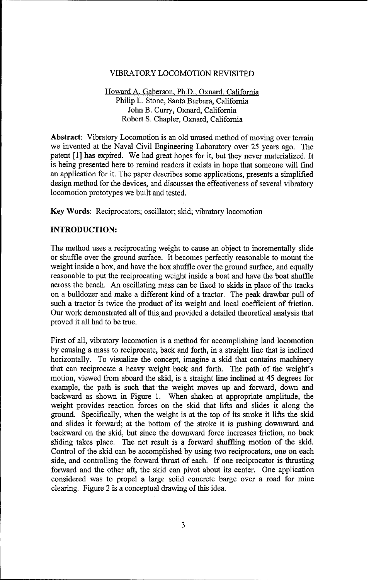## VIBRATORY LOCOMOTION REVISITED

Howard A. Gaberson, Ph.D., Oxnard, California Philip L. Stone, Santa Barbara, California John B. Curry, Oxnard, California Robert S. Chapler, Oxnard, California

Abstract: Vibratory Locomotion is an old unused method of moving over terrain we invented at the Naval Civil Engineering Laboratory over 25 years ago. The patent [1] has expired. We had great hopes for it, but they never materialized. It is being presented here to remind readers it exists in hope that someone will find an application for it. The paper describes some applications, presents a simplified design method for the devices, and discusses the effectiveness of several vibratory locomotion prototypes we built and tested.

Key Words: Reciprocators; oscillator; skid; vibratory locomotion

### **INTRODUCTION:**

The method uses a reciprocating weight to cause an object to incrementally slide or shuffle over the ground surface. It becomes perfectly reasonable to mount the weight inside a box, and have the box shuffle over the ground surface, and equally reasonable to put the reciprocating weight inside a boat and have the boat shuffle across the beach. An oscillating mass can be fixed to skids in place of the tracks on a bulldozer and make a different kind of a tractor. The peak drawbar pull of such a tractor is twice the product of its weight and local coefficient of friction. Our work demonstrated all of this and provided a detailed theoretical analysis that proved it all had to be true.

First of all, vibratory locomotion is a method for accomplishing land locomotion by causing a mass to reciprocate, back and forth, in a straight line that is inclined horizontally. To visualize the concept, imagine a skid that contains machinery that can reciprocate a heavy weight back and forth. The path of the weight's motion, viewed from aboard the skid, is a straight line inclined at 45 degrees for example, the path is such that the weight moves up and forward, down and backward as shown in Figure 1. When shaken at appropriate amplitude, the weight provides reaction forces on the skid that lifts and slides it along the ground. Specifically, when the weight is at the top of its stroke it lifts the skid and slides it forward; at the bottom of the stroke it is pushing downward and backward on the skid, but since the downward force increases friction, no back sliding takes place. The net result is a forward shuffling motion of the skid. Control of the skid can be accomplished by using two reciprocators, one on each side, and controlling the forward thrust of each. If one reciprocator is thrusting forward and the other aft, the skid can pivot about its center. One application considered was to propel a large solid concrete barge over a road for mine clearing. Figure 2 is a conceptual drawing of this idea.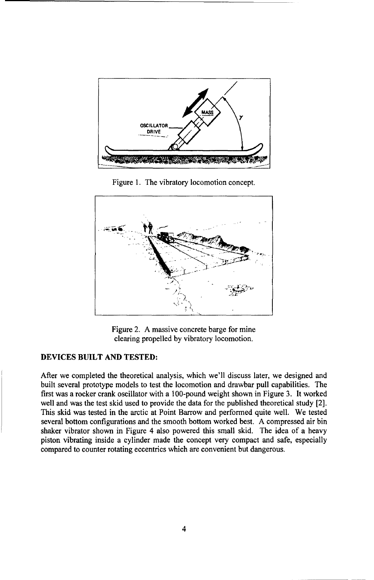

Figure **1.** The vibratory locomotion concept.



Figure 2. A massive concrete barge for mine clearing propelled by vibratory locomotion.

# **DEVICES** BUILT **AND TESTED:**

After we completed the theoretical analysis, which we'll discuss later, we designed and built several prototype models to test the locomotion and drawbar pull capabilities. The first was a rocker crank oscillator with a 100-pound weight shown in Figure 3. It worked well and was the test skid used to provide the data for the published theoretical study [2]. This skid was tested in the arctic at Point Barrow and performed quite well. We tested several bottom configurations and the smooth bottom worked best. A compressed air bin shaker vibrator shown in Figure 4 also powered this small skid. The idea of a heavy piston vibrating inside a cylinder made the concept very compact and safe, especially compared to counter rotating eccentrics which are convenient but dangerous.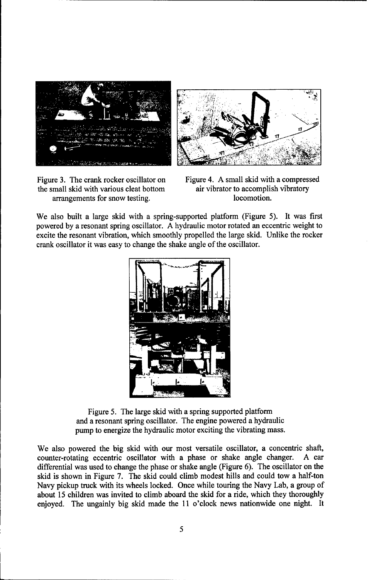



the small skid with various cleat bottom air vibrator to accomplish vibratory arrangements for snow testing. locomotion.

Figure 3. The crank rocker oscillator on Figure 4. A small skid with a compressed

We also built a large skid with a spring-supported platform (Figure 5). It was first powered by a resonant spring oscillator. A hydraulic motor rotated an eccentric weight to excite the resonant vibration, which smoothly propelled the large skid. Unlike the rocker crank oscillator it was easy to change the shake angle of the oscillator.



Figure 5. The large skid with a spring supported platform and a resonant spring oscillator. The engine powered a hydraulic pump to energize the hydraulic motor exciting the vibrating mass.

We also powered the big skid with our most versatile oscillator, a concentric shaft, counter-rotating eccentric oscillator with a phase or shake angle changer. A car differential was used to change the phase or shake angle (Figure 6). The oscillator on the skid is shown in Figure 7. The skid could climb modest hills and could tow a half-ton Navy pickup truck with its wheels locked. Once while touring the Navy Lab, a group of about 15 children was invited to climb aboard the skid for a ride, which they thoroughly enjoyed. The ungainly big skid made the 11 o'clock news nationwide one night. It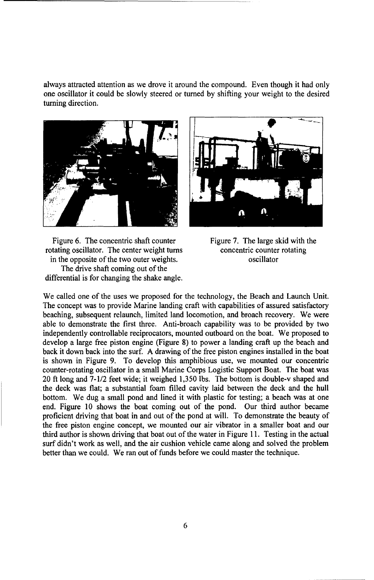always attracted attention as we drove it around the compound. Even though it had only one oscillator it could be slowly steered or turned by shifting your weight to the desired turning direction.



Figure 6. The concentric shaft counter Figure 7. The large skid with the rotating oscillator. The center weight turns concentric counter rotating in the opposite of the two outer weights.  $\qquad \qquad$  oscillator The drive shaft coming out of the differential is for changing the shake angle.



We called one of the uses we proposed for the technology, the Beach and Launch Unit. The concept was to provide Marine landing craft with capabilities of assured satisfactory beaching, subsequent relaunch, limited land locomotion, and broach recovery. We were able to demonstrate the first three. Anti-broach capability was to be provided by two independently controllable reciprocators, mounted outboard on the boat. We proposed to develop a large free piston engine (Figure 8) to power a landing craft up the beach and back it down back into the surf. A drawing of the free piston engines installed in the boat is shown in Figure 9. To develop this amphibious use, we mounted our concentric counter-rotating oscillator in a small Marine Corps Logistic Support Boat. The boat was 20 ft long and 7-1/2 feet wide; it weighed 1,350 lbs. The bottom is double-v shaped and the deck was flat; a substantial foam filled cavity laid between the deck and the hull bottom. We dug a small pond and lined it with plastic for testing; a beach was at one end. Figure 10 shows the boat coming out of the pond. Our third author became proficient driving that boat in and out of the pond at will. To demonstrate the beauty of the free piston engine concept, we mounted our air vibrator in a smaller boat and our third author is shown driving that boat out of the water in Figure 11. Testing in the actual surf didn't work as well, and the air cushion vehicle came along and solved the problem better than we could. We ran out of funds before we could master the technique.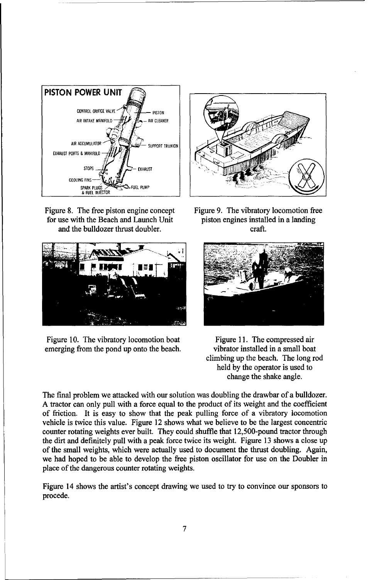

Figure 8. The free piston engine concept Figure **9.** The vibratory locomotion free for use with the Beach and Launch Unit piston engines installed in a landing and the bulldozer thrust doubler. craft.



Figure 10. The vibratory locomotion boat Figure 11. The compressed air emerging from the pond up onto the beach. vibrator installed in a small boat





climbing up the beach. The long rod held by the operator is used to change the shake angle.

The final problem we attacked with our solution was doubling the drawbar of a bulldozer. A tractor can only pull with a force equal to the product of its weight and the coefficient of friction. It is easy to show that the peak pulling force of a vibratory locomotion vehicle is twice this value. Figure 12 shows what we believe to be the largest concentric counter rotating weights ever built. They could shuffle that 12,500-pound tractor through the dirt and definitely pull with a peak force twice its weight. Figure 13 shows a close up of the small weights, which were actually used to document the thrust doubling. Again, we had hoped to be able to develop the free piston oscillator for use on the Doubler in place of the dangerous counter rotating weights.

Figure 14 shows the artist's concept drawing we used to try to convince our sponsors to procede.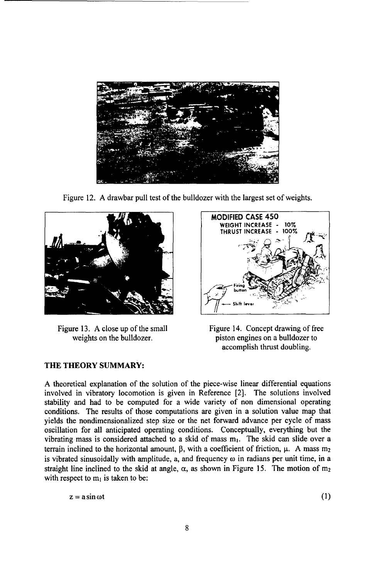

Figure 12. A drawbar pull test of the bulldozer with the largest set of weights.



Figure 13. A close up of the small Figure 14. Concept drawing of free

# THE THEORY SUMMARY:



weights on the bulldozer. piston engines on a bulldozer to accomplish thrust doubling.

**A** theoretical explanation of the solution of the piece-wise linear differential equations involved in vibratory locomotion is given in Reference [2]. The solutions involved stability and had to be computed for a wide variety of non dimensional operating conditions. The results of those computations are given in a solution value map that yields the nondimensionalized step size or the net forward advance per cycle of mass oscillation for all anticipated operating conditions. Conceptually, everything but the vibrating mass is considered attached to a skid of mass  $m_1$ . The skid can slide over a terrain inclined to the horizontal amount,  $\beta$ , with a coefficient of friction,  $\mu$ . A mass m<sub>2</sub> is vibrated sinusoidally with amplitude, a, and frequency  $\omega$  in radians per unit time, in a straight line inclined to the skid at angle,  $\alpha$ , as shown in Figure 15. The motion of m<sub>2</sub> with respect to  $m_1$  is taken to be:

 $z = a \sin \omega t$  (1)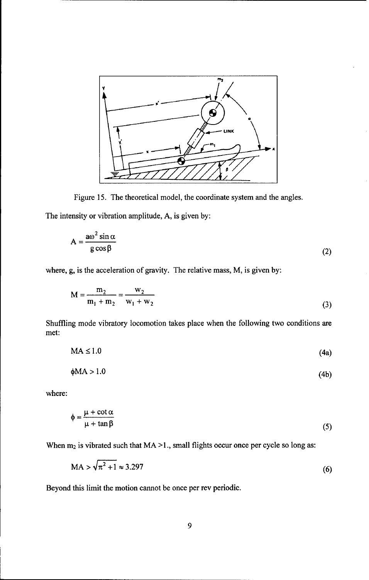

Figure 15. The theoretical model, the coordinate system and the angles.

The intensity or vibration amplitude, A, is given by:

$$
A = \frac{a\omega^2 \sin \alpha}{g \cos \beta} \tag{2}
$$

where, g, is the acceleration of gravity. The relative mass, M, is given by:

$$
M = \frac{m_2}{m_1 + m_2} = \frac{w_2}{w_1 + w_2}
$$
 (3)

Shuffling mode vibratory locomotion takes place when the following two conditions are met:

$$
MA \le 1.0 \tag{4a}
$$

$$
\phi MA > 1.0 \tag{4h}
$$

where:

$$
\phi = \frac{\mu + \cot \alpha}{\mu + \tan \beta} \tag{5}
$$

When  $m_2$  is vibrated such that  $MA > 1$ ., small flights occur once per cycle so long as:

$$
MA > \sqrt{\pi^2 + 1} \approx 3.297\tag{6}
$$

Beyond this limit the motion cannot be once per rev periodic.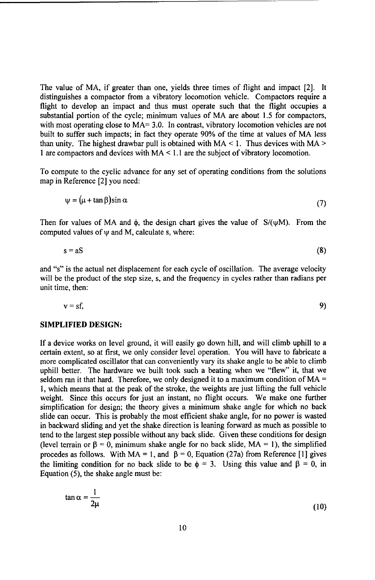The value of MA, if greater than one, yields three times of flight and impact [2]. It distinguishes a compactor from a vibratory locomotion vehicle. Compactors require a flight to develop an impact and thus must operate such that the flight occupies a substantial portion of the cycle; minimum values of MA are about 1.5 for compactors, with most operating close to MA= 3.0. In contrast, vibratory locomotion vehicles are not built to suffer such impacts; in fact they operate 90% of the time at values of MA less than unity. The highest drawbar pull is obtained with MA < **1.** Thus devices with MA **>** 1 are compactors and devices with MA < 1.1 are the subject of vibratory locomotion.

To compute to the cyclic advance for any set of operating conditions from the solutions map in Reference [2] you need:

$$
\psi = (\mu + \tan \beta) \sin \alpha \tag{7}
$$

Then for values of MA and  $\phi$ , the design chart gives the value of  $S/(\psi M)$ . From the computed values of  $\psi$  and M, calculate s, where:

$$
s = aS \tag{8}
$$

and "s" is the actual net displacement for each cycle of oscillation. The average velocity will be the product of the step size, s, and the frequency in cycles rather than radians per unit time, then:

$$
v = sf,
$$

#### SIMPLIFIED **DESIGN:**

If a device works on level ground, it will easily go down hill, and will climb uphill to a certain extent, so at first, we only consider level operation. You will have to fabricate a more complicated oscillator that can conveniently vary its shake angle to be able to climb uphill better. The hardware we built took such a beating when we "flew" it, that we seldom ran it that hard. Therefore, we only designed it to a maximum condition of MA = **1,** which means that at the peak of the stroke, the weights are just lifting the full vehicle weight. Since this occurs for just an instant, no flight occurs. We make one further simplification for design; the theory gives a minimum shake angle for which no back slide can occur. This is probably the most efficient shake angle, for no power is wasted in backward sliding and yet the shake direction is leaning forward as much as possible to tend to the largest step possible without any back slide. Given these conditions for design (level terrain or  $\beta = 0$ , minimum shake angle for no back slide,  $MA = 1$ ), the simplified procedes as follows. With MA = 1, and  $\beta = 0$ , Equation (27a) from Reference [1] gives the limiting condition for no back slide to be  $\phi = 3$ . Using this value and  $\beta = 0$ , in Equation (5), the shake angle must be:

$$
\tan \alpha = \frac{1}{2\mu} \tag{10}
$$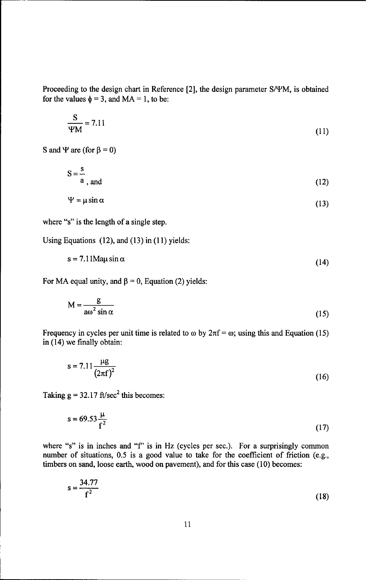Proceeding to the design chart in Reference [21, the design parameter S/PM, is obtained for the values  $\phi = 3$ , and  $MA = 1$ , to be:

$$
\frac{\text{S}}{\text{YM}} = 7.11\tag{11}
$$

S and  $\Psi$  are (for  $\beta = 0$ )

 $S = \frac{s}{a}$ , and  $a$ , and  $(12)$ 

$$
\Psi = \mu \sin \alpha \tag{13}
$$

where "s" is the length of a single step.

Using Equations (12), and (13) in (11) yields:

 $s = 7.11$ Ma $\mu$  sin  $\alpha$  (14)

For MA equal unity, and  $\beta = 0$ , Equation (2) yields:

$$
M = \frac{g}{a\omega^2 \sin \alpha} \tag{15}
$$

Frequency in cycles per unit time is related to  $\omega$  by  $2\pi f = \omega$ ; using this and Equation (15) in (14) we finally obtain:

$$
s = 7.11 \frac{\mu g}{(2\pi f)^2}
$$
 (16)

Taking  $g = 32.17$  ft/sec<sup>2</sup> this becomes:

$$
s = 69.53 \frac{\mu}{f^2}
$$
 (17)

where "s" is in inches and *"f'* is in Hz (cycles per sec.). For a surprisingly common number of situations, 0.5 is a good value to take for the coefficient of friction (e.g., timbers on sand, loose earth, wood on pavement), and for this case (10) becomes:

$$
s = \frac{34.77}{f^2}
$$
 (18)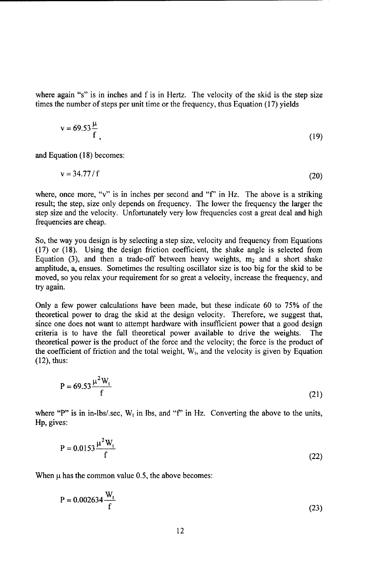where again "s" is in inches and f is in Hertz. The velocity of the skid is the step size times the number of steps per unit time or the frequency, thus Equation (17) yields

$$
v = 69.53 \frac{\mu}{f},\tag{19}
$$

and Equation (18) becomes:

 $v = 34.77 / f$  (20)

where, once more, "v" is in inches per second and **"f'** in Hz. The above is a striking result; the step, size only depends on frequency. The lower the frequency the larger the step size and the velocity. Unfortunately very low frequencies cost a great deal and high frequencies are cheap.

So, the way you design is by selecting a step size, velocity and frequency from Equations (17) or (18). Using the design friction coefficient, the shake angle is selected from Equation (3), and then a trade-off between heavy weights,  $m_2$  and a short shake amplitude, a, ensues. Sometimes the resulting oscillator size is too big for the skid to be moved, so you relax your requirement for so great a velocity, increase the frequency, and try again.

Only a few power calculations have been made, but these indicate 60 to 75% of the theoretical power to drag the skid at the design velocity. Therefore, we suggest that, since one does not want to attempt hardware with insufficient power that a good design criteria is to have the full theoretical power available to drive the weights. The theoretical power is the product of the force and the velocity; the force is the product of the coefficient of friction and the total weight,  $W_t$ , and the velocity is given by Equation (12), thus:

$$
P = 69.53 \frac{\mu^2 W_t}{f}
$$
 (21)

where "P" is in in-lbs/.sec,  $W_t$  in lbs, and "f" in Hz. Converting the above to the units, Hp, gives:

$$
P = 0.0153 \frac{\mu^2 W_t}{f}
$$
 (22)

When  $\mu$  has the common value 0.5, the above becomes:

$$
P = 0.002634 \frac{W_t}{f}
$$
 (23)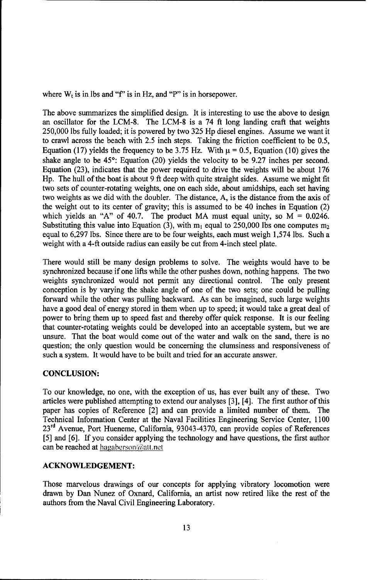where  $W_t$  is in lbs and "f" is in Hz, and "P" is in horsepower.

The above summarizes the simplified design. It is interesting to use the above to design an oscillator for the LCM-8. The LCM-8 is a 74 ft long landing craft that weights 250,000 lbs fully loaded; it is powered by two 325 Hp diesel engines. Assume we want it to crawl across the beach with 2.5 inch steps. Taking the friction coefficient to be 0.5, Equation (17) yields the frequency to be 3.75 Hz. With  $\mu$  = 0.5, Equation (10) gives the shake angle to be  $45^{\circ}$ : Equation (20) yields the velocity to be 9.27 inches per second. Equation (23), indicates that the power required to drive the weights will be about 176 Hp. The hull of the boat is about 9 ft deep with quite straight sides. Assume we might fit two sets of counter-rotating weights, one on each side, about amidships, each set having two weights as we did with the doubler. The distance, A, is the distance from the axis of the weight out to its center of gravity; this is assumed to be 40 inches in Equation (2) which yields an "A" of 40.7. The product MA must equal unity, so  $M = 0.0246$ . Substituting this value into Equation (3), with  $m_1$  equal to 250,000 lbs one computes  $m_2$ equal to 6,297 lbs. Since there are to be four weights, each must weigh 1,574 lbs. Such a weight with a 4-ft outside radius can easily be cut from 4-inch steel plate.

There would still be many design problems to solve. The weights would have to be synchronized because if one lifts while the other pushes down, nothing happens. The two weights synchronized would not permit any directional control. The only present conception is by varying the shake angle of one of the two sets; one could be pulling forward while the other was pulling backward. As can be imagined, such large weights have a good deal of energy stored in them when up to speed; it would take a great deal of power to bring them up to speed fast and thereby offer quick response. It is our feeling that counter-rotating weights could be developed into an acceptable system, but we are unsure. That the boat would come out of the water and walk on the sand, there is no question; the only question would be concerning the clumsiness and responsiveness of such a system. It would have to be built and tried for an accurate answer.

## **CONCLUSION:**

To our knowledge, no one, with the exception of us, has ever built any of these. Two articles were published attempting to extend our analyses [3], [4]. The first author of this paper has copies of Reference [2] and can provide a limited number of them. The Technical Information Center at the Naval Facilities Engineering Service Center, 1100 **<sup>2</sup> 3rd** Avenue, Port Hueneme, California, 93043-4370, can provide copies of References [5] and [6]. If you consider applying the technology and have questions, the first author can be reached at hagaberson@att.net

### **ACKNOWLEDGEMENT:**

Those marvelous drawings of our concepts for applying vibratory locomotion were drawn by Dan Nunez of Oxnard, California, an artist now retired like the rest of the authors from the Naval Civil Engineering Laboratory.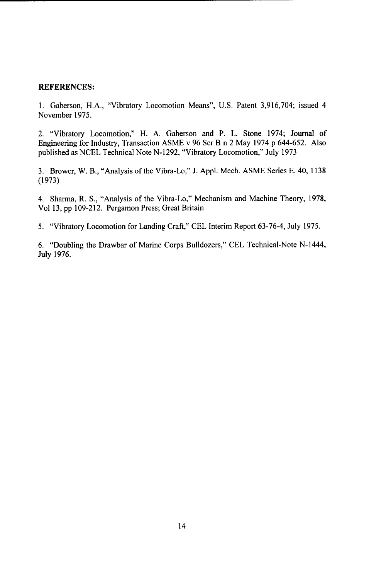## REFERENCES:

1. Gaberson, H.A., "Vibratory Locomotion Means", U.S. Patent 3,916,704; issued 4 November 1975.

2. "Vibratory Locomotion," H. A. Gaberson and P. L. Stone 1974; Journal of Engineering for Industry, Transaction ASME v 96 Ser B n 2 May 1974 p 644-652. Also published as NCEL Technical Note N-1292, "Vibratory Locomotion," July 1973

3. Brower, W. B., "Analysis of the Vibra-Lo," J. Appl. Mech. ASME Series E. 40, 1138 (1973)

4. Sharma, R. S., "Analysis of the Vibra-Lo," Mechanism and Machine Theory, 1978, Vol 13, pp 109-212. Pergamon Press; Great Britain

5. "Vibratory Locomotion for Landing Craft," CEL Interim Report 63-76-4, July 1975.

6. "Doubling the Drawbar of Marine Corps Bulldozers," CEL Technical-Note N-1444, July 1976.